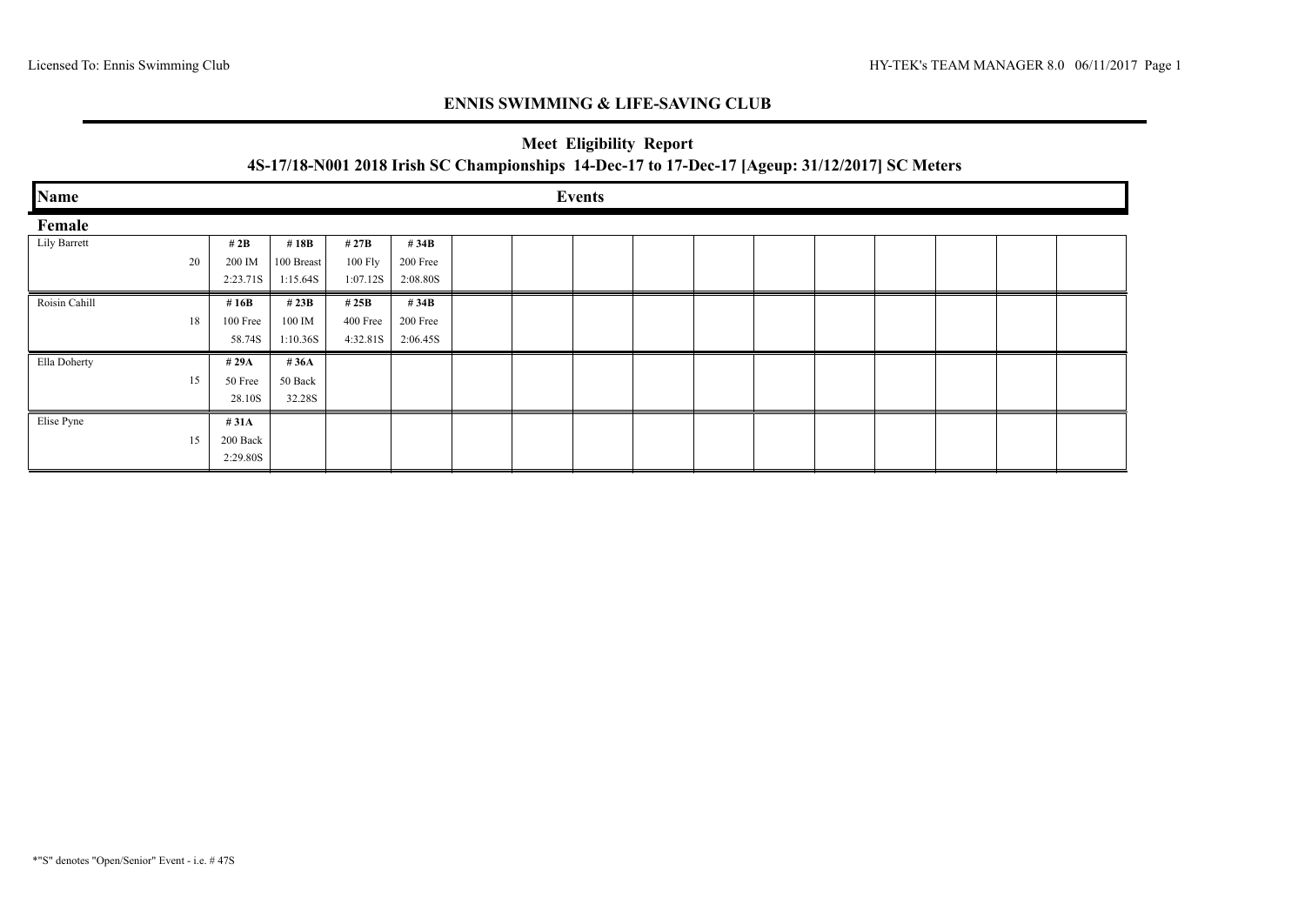## **ENNIS SWIMMING & LIFE-SAVING CLUB**

## **Meet Eligibility Report 4S-17/18-N001 2018 Irish SC Championships 14-Dec-17 to 17-Dec-17 [Ageup: 31/12/2017] SC Meters**

| Name          |          | <b>Events</b> |            |           |          |  |  |  |  |  |  |  |  |  |  |  |
|---------------|----------|---------------|------------|-----------|----------|--|--|--|--|--|--|--|--|--|--|--|
| Female        |          |               |            |           |          |  |  |  |  |  |  |  |  |  |  |  |
| Lily Barrett  | # $2B$   |               | #18B       | # $27B$   | # $34B$  |  |  |  |  |  |  |  |  |  |  |  |
| 20            | 200 IM   |               | 100 Breast | $100$ Fly | 200 Free |  |  |  |  |  |  |  |  |  |  |  |
|               | 2:23.71S |               | 1:15.64S   | 1:07.12S  | 2:08.80S |  |  |  |  |  |  |  |  |  |  |  |
| Roisin Cahill | #16B     |               | # $23B$    | # $25B$   | # $34B$  |  |  |  |  |  |  |  |  |  |  |  |
| 18            | 100 Free |               | 100 IM     | 400 Free  | 200 Free |  |  |  |  |  |  |  |  |  |  |  |
|               |          | 58.74S        | 1:10.36S   | 4:32.81S  | 2:06.45S |  |  |  |  |  |  |  |  |  |  |  |
| Ella Doherty  | # 29A    |               | #36A       |           |          |  |  |  |  |  |  |  |  |  |  |  |
| 15            | 50 Free  |               | 50 Back    |           |          |  |  |  |  |  |  |  |  |  |  |  |
|               |          | 28.10S        | 32.28S     |           |          |  |  |  |  |  |  |  |  |  |  |  |
| Elise Pyne    | # $31A$  |               |            |           |          |  |  |  |  |  |  |  |  |  |  |  |
| 15            | 200 Back |               |            |           |          |  |  |  |  |  |  |  |  |  |  |  |
|               | 2:29.80S |               |            |           |          |  |  |  |  |  |  |  |  |  |  |  |